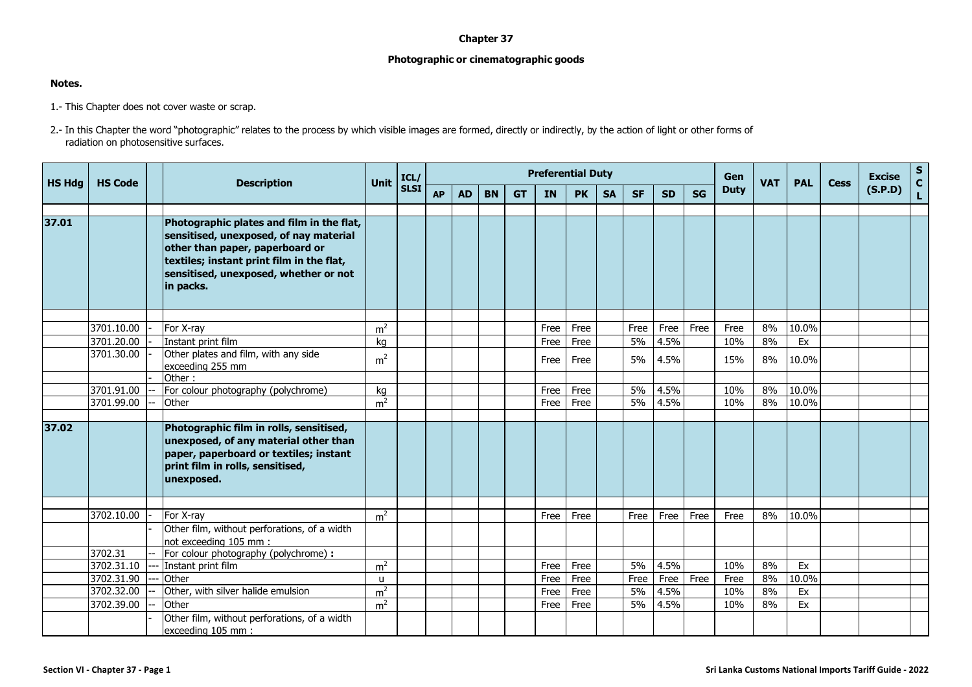## **Chapter 37**

## **Photographic or cinematographic goods**

## **Notes.**

- 1.- This Chapter does not cover waste or scrap.
- 2.- In this Chapter the word "photographic" relates to the process by which visible images are formed, directly or indirectly, by the action of light or other forms of radiation on photosensitive surfaces.

| <b>HS Hdg</b> | <b>HS Code</b> |  | <b>Description</b>                                                                                                                                                                                           | Unit           | ICL/        |           |           |           |           |      | <b>Preferential Duty</b> |           |           |           |           | Gen         | <b>VAT</b> | <b>PAL</b> | <b>Cess</b> | <b>Excise</b> | S<br>$\mathbf{C}$ |
|---------------|----------------|--|--------------------------------------------------------------------------------------------------------------------------------------------------------------------------------------------------------------|----------------|-------------|-----------|-----------|-----------|-----------|------|--------------------------|-----------|-----------|-----------|-----------|-------------|------------|------------|-------------|---------------|-------------------|
|               |                |  |                                                                                                                                                                                                              |                | <b>SLSI</b> | <b>AP</b> | <b>AD</b> | <b>BN</b> | <b>GT</b> | IN   | <b>PK</b>                | <b>SA</b> | <b>SF</b> | <b>SD</b> | <b>SG</b> | <b>Duty</b> |            |            |             | (S.P.D)       | L.                |
| 37.01         |                |  | Photographic plates and film in the flat,<br>sensitised, unexposed, of nay material<br>other than paper, paperboard or<br>textiles; instant print film in the flat,<br>sensitised, unexposed, whether or not |                |             |           |           |           |           |      |                          |           |           |           |           |             |            |            |             |               |                   |
|               |                |  | in packs.                                                                                                                                                                                                    |                |             |           |           |           |           |      |                          |           |           |           |           |             |            |            |             |               |                   |
|               | 3701.10.00     |  | For X-ray                                                                                                                                                                                                    | m <sup>2</sup> |             |           |           |           |           | Free | Free                     |           | Free      | Free      | Free      | Free        | 8%         | 10.0%      |             |               |                   |
|               | 3701.20.00     |  | Instant print film                                                                                                                                                                                           | kg             |             |           |           |           |           | Free | Free                     |           | 5%        | 4.5%      |           | 10%         | 8%         | Ex         |             |               |                   |
|               | 3701.30.00     |  | Other plates and film, with any side<br>exceeding 255 mm                                                                                                                                                     | m <sup>2</sup> |             |           |           |           |           | Free | Free                     |           | 5%        | 4.5%      |           | 15%         | 8%         | 10.0%      |             |               |                   |
|               |                |  | Other:                                                                                                                                                                                                       |                |             |           |           |           |           |      |                          |           |           |           |           |             |            |            |             |               |                   |
|               | 3701.91.00     |  | For colour photography (polychrome)                                                                                                                                                                          | kg             |             |           |           |           |           | Free | Free                     |           | 5%        | 4.5%      |           | 10%         | 8%         | 10.0%      |             |               |                   |
|               | 3701.99.00     |  | Other                                                                                                                                                                                                        | m <sup>2</sup> |             |           |           |           |           | Free | Free                     |           | 5%        | 4.5%      |           | 10%         | 8%         | 10.0%      |             |               |                   |
| 37.02         |                |  | Photographic film in rolls, sensitised,<br>unexposed, of any material other than<br>paper, paperboard or textiles; instant<br>print film in rolls, sensitised,<br>unexposed.                                 |                |             |           |           |           |           |      |                          |           |           |           |           |             |            |            |             |               |                   |
|               |                |  |                                                                                                                                                                                                              |                |             |           |           |           |           |      |                          |           |           |           |           |             |            |            |             |               |                   |
|               | 3702.10.00     |  | For X-ray<br>Other film, without perforations, of a width<br>not exceeding 105 mm :                                                                                                                          | m <sup>2</sup> |             |           |           |           |           | Free | Free                     |           | Free      | Free      | Free      | Free        | 8%         | 10.0%      |             |               |                   |
|               | 3702.31        |  | For colour photography (polychrome) :                                                                                                                                                                        |                |             |           |           |           |           |      |                          |           |           |           |           |             |            |            |             |               |                   |
|               | 3702.31.10     |  | Instant print film                                                                                                                                                                                           | m <sup>2</sup> |             |           |           |           |           | Free | Free                     |           | 5%        | 4.5%      |           | 10%         | 8%         | Ex         |             |               |                   |
|               | 3702.31.90     |  | Other                                                                                                                                                                                                        | u              |             |           |           |           |           | Free | Free                     |           | Free      | Free      | Free      | Free        | 8%         | 10.0%      |             |               |                   |
|               | 3702.32.00     |  | Other, with silver halide emulsion                                                                                                                                                                           | m <sup>2</sup> |             |           |           |           |           | Free | Free                     |           | 5%        | 4.5%      |           | 10%         | 8%         | Ex         |             |               |                   |
|               | 3702.39.00     |  | Other<br>Other film, without perforations, of a width<br>exceeding 105 mm :                                                                                                                                  | m <sup>2</sup> |             |           |           |           |           | Free | Free                     |           | 5%        | 4.5%      |           | 10%         | 8%         | Ex         |             |               |                   |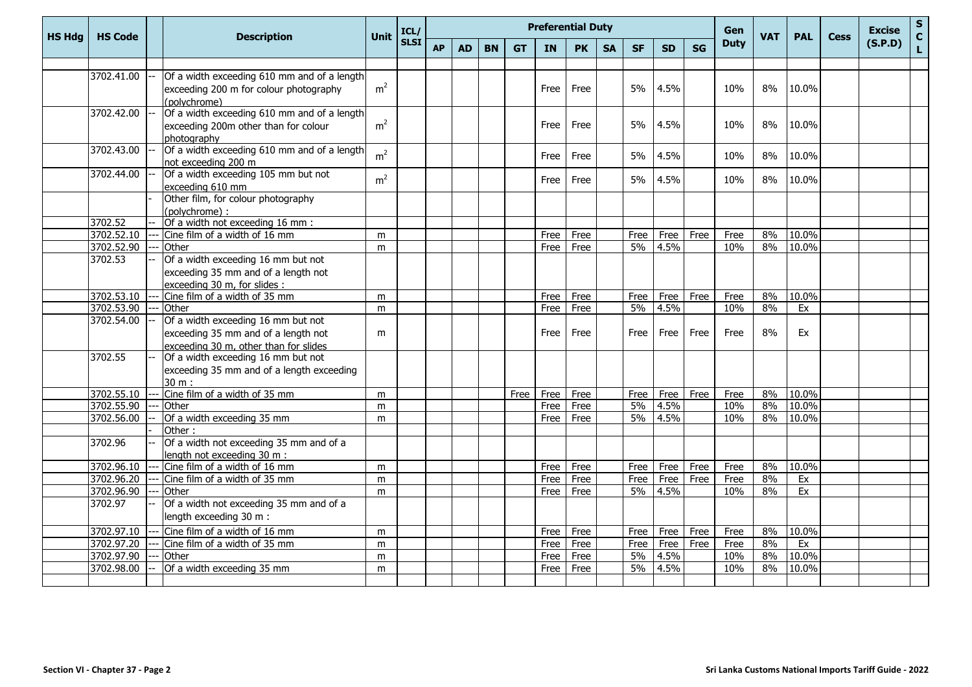| <b>HS Hdg</b> | <b>HS Code</b>           | <b>Description</b>                                             | <b>Unit</b>    | ICL/        |           |           |           |           | <b>Preferential Duty</b> |              |           |              |              |              | Gen          | <b>VAT</b> | <b>PAL</b>  | <b>Cess</b> | <b>Excise</b> | $\frac{s}{c}$ |
|---------------|--------------------------|----------------------------------------------------------------|----------------|-------------|-----------|-----------|-----------|-----------|--------------------------|--------------|-----------|--------------|--------------|--------------|--------------|------------|-------------|-------------|---------------|---------------|
|               |                          |                                                                |                | <b>SLSI</b> | <b>AP</b> | <b>AD</b> | <b>BN</b> | <b>GT</b> | <b>IN</b>                | <b>PK</b>    | <b>SA</b> | <b>SF</b>    | <b>SD</b>    | <b>SG</b>    | <b>Duty</b>  |            |             |             | (S.P.D)       | L.            |
|               |                          |                                                                |                |             |           |           |           |           |                          |              |           |              |              |              |              |            |             |             |               |               |
|               | 3702.41.00               | Of a width exceeding 610 mm and of a length                    |                |             |           |           |           |           |                          |              |           |              |              |              |              |            |             |             |               |               |
|               |                          | exceeding 200 m for colour photography                         | m <sup>2</sup> |             |           |           |           |           | Free                     | Free         |           | 5%           | 4.5%         |              | 10%          | 8%         | 10.0%       |             |               |               |
|               |                          | (polychrome)                                                   |                |             |           |           |           |           |                          |              |           |              |              |              |              |            |             |             |               |               |
|               | 3702.42.00               | Of a width exceeding 610 mm and of a length                    |                |             |           |           |           |           |                          |              |           |              |              |              |              |            |             |             |               |               |
|               |                          | exceeding 200m other than for colour                           | m <sup>2</sup> |             |           |           |           |           | Free                     | Free         |           | 5%           | 4.5%         |              | 10%          | 8%         | 10.0%       |             |               |               |
|               |                          | photography                                                    |                |             |           |           |           |           |                          |              |           |              |              |              |              |            |             |             |               |               |
|               | 3702.43.00               | Of a width exceeding 610 mm and of a length                    | m <sup>2</sup> |             |           |           |           |           | Free                     | Free         |           | 5%           | 4.5%         |              | 10%          | 8%         | 10.0%       |             |               |               |
|               |                          | not exceeding 200 m<br>Of a width exceeding 105 mm but not     |                |             |           |           |           |           |                          |              |           |              |              |              |              |            |             |             |               |               |
|               | 3702.44.00               |                                                                | m <sup>2</sup> |             |           |           |           |           | Free                     | Free         |           | 5%           | 4.5%         |              | 10%          | 8%         | 10.0%       |             |               |               |
|               |                          | exceeding 610 mm<br>Other film, for colour photography         |                |             |           |           |           |           |                          |              |           |              |              |              |              |            |             |             |               |               |
|               |                          | (polychrome):                                                  |                |             |           |           |           |           |                          |              |           |              |              |              |              |            |             |             |               |               |
|               | 3702.52                  | Of a width not exceeding 16 mm :                               |                |             |           |           |           |           |                          |              |           |              |              |              |              |            |             |             |               |               |
|               | 3702.52.10               | Cine film of a width of 16 mm                                  | m              |             |           |           |           |           | Free                     | Free         |           | Free         | Free         | Free         | Free         | 8%         | 10.0%       |             |               |               |
|               | 3702.52.90               | Other                                                          | m              |             |           |           |           |           | Free                     | Free         |           | 5%           | 4.5%         |              | 10%          | 8%         | 10.0%       |             |               |               |
|               | 3702.53                  | Of a width exceeding 16 mm but not                             |                |             |           |           |           |           |                          |              |           |              |              |              |              |            |             |             |               |               |
|               |                          | exceeding 35 mm and of a length not                            |                |             |           |           |           |           |                          |              |           |              |              |              |              |            |             |             |               |               |
|               |                          | exceeding 30 m, for slides :                                   |                |             |           |           |           |           |                          |              |           |              |              |              |              |            |             |             |               |               |
|               | 3702.53.10               | Cine film of a width of 35 mm                                  | m              |             |           |           |           |           | Free                     | Free         |           | Free         | Free         | Free         | Free         | 8%         | 10.0%       |             |               |               |
|               | 3702.53.90               | Other                                                          | m              |             |           |           |           |           | Free                     | Free         |           | $5\%$        | 4.5%         |              | 10%          | 8%         | Ex          |             |               |               |
|               | 3702.54.00               | Of a width exceeding 16 mm but not                             |                |             |           |           |           |           |                          |              |           |              |              |              |              |            |             |             |               |               |
|               |                          | exceeding 35 mm and of a length not                            | m              |             |           |           |           |           | Free                     | Free         |           | Free         | Free         | Free         | Free         | 8%         | Ex          |             |               |               |
|               |                          | exceeding 30 m, other than for slides                          |                |             |           |           |           |           |                          |              |           |              |              |              |              |            |             |             |               |               |
|               | 3702.55                  | Of a width exceeding 16 mm but not                             |                |             |           |           |           |           |                          |              |           |              |              |              |              |            |             |             |               |               |
|               |                          | exceeding 35 mm and of a length exceeding                      |                |             |           |           |           |           |                          |              |           |              |              |              |              |            |             |             |               |               |
|               |                          | 30 m:                                                          |                |             |           |           |           |           |                          |              |           |              |              |              |              |            |             |             |               |               |
|               | 3702.55.10               | Cine film of a width of 35 mm                                  | m              |             |           |           |           | Free      | Free                     | Free         |           | Free         | Free         | Free         | Free         | 8%         | 10.0%       |             |               |               |
|               | 3702.55.90               | Other                                                          | m              |             |           |           |           |           | Free                     | Free         |           | 5%           | 4.5%         |              | 10%          | 8%         | 10.0%       |             |               |               |
|               | 3702.56.00               | Of a width exceeding 35 mm                                     | m              |             |           |           |           |           | Free                     | Free         |           | 5%           | 4.5%         |              | 10%          | 8%         | 10.0%       |             |               |               |
|               |                          | Other:                                                         |                |             |           |           |           |           |                          |              |           |              |              |              |              |            |             |             |               |               |
|               | 3702.96                  | Of a width not exceeding 35 mm and of a                        |                |             |           |           |           |           |                          |              |           |              |              |              |              |            |             |             |               |               |
|               |                          | length not exceeding 30 m :                                    |                |             |           |           |           |           |                          |              |           |              |              |              |              |            |             |             |               |               |
|               | 3702.96.10<br>3702.96.20 | Cine film of a width of 16 mm<br>Cine film of a width of 35 mm | m              |             |           |           |           |           | Free<br>Free             | Free<br>Free |           | Free<br>Free | Free<br>Free | Free<br>Free | Free<br>Free | 8%<br>8%   | 10.0%<br>Ex |             |               |               |
|               | 3702.96.90               | Other                                                          | m              |             |           |           |           |           | Free                     | Free         |           | 5%           | 4.5%         |              | 10%          | 8%         | Ex          |             |               |               |
|               | 3702.97                  | Of a width not exceeding 35 mm and of a                        | m              |             |           |           |           |           |                          |              |           |              |              |              |              |            |             |             |               |               |
|               |                          | length exceeding 30 m :                                        |                |             |           |           |           |           |                          |              |           |              |              |              |              |            |             |             |               |               |
|               |                          |                                                                |                |             |           |           |           |           |                          |              |           |              |              |              |              |            |             |             |               |               |
|               | 3702.97.10               | Cine film of a width of 16 mm                                  | m              |             |           |           |           |           | Free                     | Free         |           | Free         | Free         | Free         | Free         | 8%         | 10.0%       |             |               |               |
|               | 3702.97.20<br>3702.97.90 | Cine film of a width of 35 mm<br>Other                         | m              |             |           |           |           |           | Free                     | Free<br>Free |           | Free<br>5%   | Free<br>4.5% | Free         | Free<br>10%  | 8%<br>8%   | Ex<br>10.0% |             |               |               |
|               | 3702.98.00               | Of a width exceeding 35 mm                                     | m              |             |           |           |           |           | Free                     | Free         |           | 5%           | 4.5%         |              | 10%          | 8%         | 10.0%       |             |               |               |
|               |                          |                                                                | m              |             |           |           |           |           | Free                     |              |           |              |              |              |              |            |             |             |               |               |
|               |                          |                                                                |                |             |           |           |           |           |                          |              |           |              |              |              |              |            |             |             |               |               |